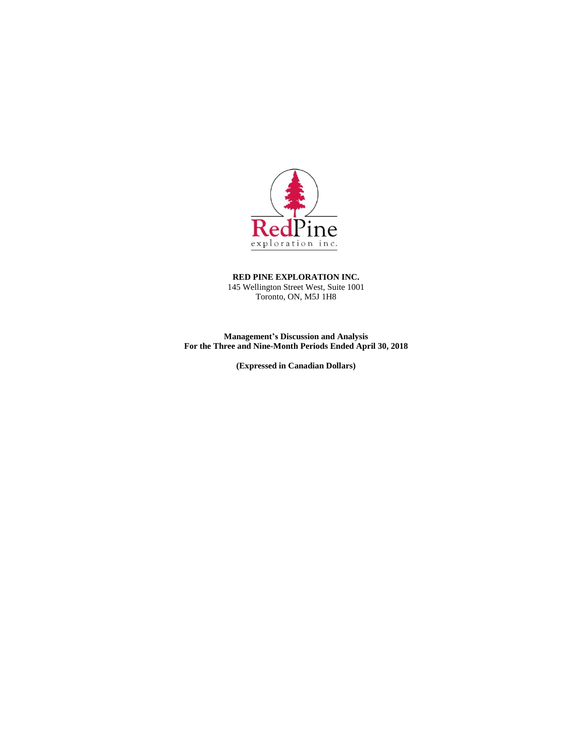

**RED PINE EXPLORATION INC.** 145 Wellington Street West, Suite 1001 Toronto, ON, M5J 1H8

**Management's Discussion and Analysis For the Three and Nine-Month Periods Ended April 30, 2018**

**(Expressed in Canadian Dollars)**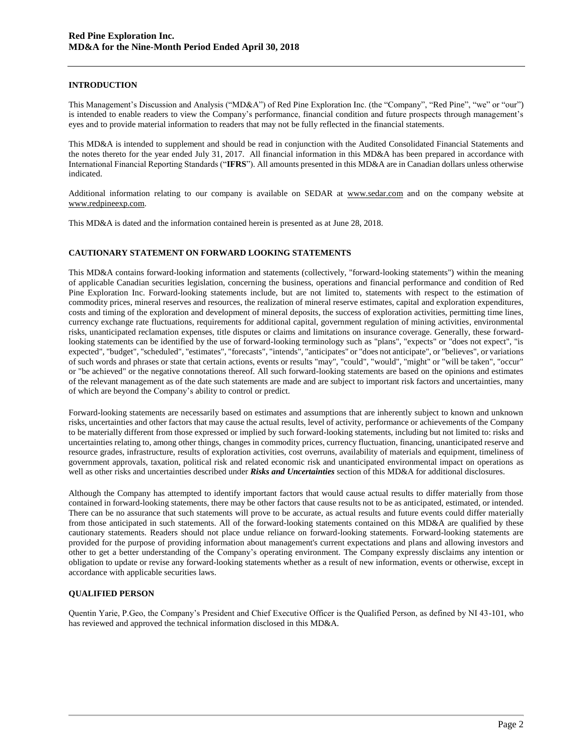# **INTRODUCTION**

This Management's Discussion and Analysis ("MD&A") of Red Pine Exploration Inc. (the "Company", "Red Pine", "we" or "our") is intended to enable readers to view the Company's performance, financial condition and future prospects through management's eyes and to provide material information to readers that may not be fully reflected in the financial statements.

This MD&A is intended to supplement and should be read in conjunction with the Audited Consolidated Financial Statements and the notes thereto for the year ended July 31, 2017. All financial information in this MD&A has been prepared in accordance with International Financial Reporting Standards ("**IFRS**"). All amounts presented in this MD&A are in Canadian dollars unless otherwise indicated.

Additional information relating to our company is available on SEDAR at www.sedar.com and on the company website at www.redpineexp.com.

This MD&A is dated and the information contained herein is presented as at June 28, 2018.

# **CAUTIONARY STATEMENT ON FORWARD LOOKING STATEMENTS**

This MD&A contains forward-looking information and statements (collectively, "forward-looking statements") within the meaning of applicable Canadian securities legislation, concerning the business, operations and financial performance and condition of Red Pine Exploration Inc. Forward-looking statements include, but are not limited to, statements with respect to the estimation of commodity prices, mineral reserves and resources, the realization of mineral reserve estimates, capital and exploration expenditures, costs and timing of the exploration and development of mineral deposits, the success of exploration activities, permitting time lines, currency exchange rate fluctuations, requirements for additional capital, government regulation of mining activities, environmental risks, unanticipated reclamation expenses, title disputes or claims and limitations on insurance coverage. Generally, these forwardlooking statements can be identified by the use of forward-looking terminology such as "plans", "expects" or "does not expect", "is expected", "budget", "scheduled", "estimates", "forecasts", "intends", "anticipates" or "does not anticipate", or "believes", or variations of such words and phrases or state that certain actions, events or results "may", "could", "would", "might" or "will be taken", "occur" or "be achieved" or the negative connotations thereof. All such forward-looking statements are based on the opinions and estimates of the relevant management as of the date such statements are made and are subject to important risk factors and uncertainties, many of which are beyond the Company's ability to control or predict.

Forward-looking statements are necessarily based on estimates and assumptions that are inherently subject to known and unknown risks, uncertainties and other factors that may cause the actual results, level of activity, performance or achievements of the Company to be materially different from those expressed or implied by such forward-looking statements, including but not limited to: risks and uncertainties relating to, among other things, changes in commodity prices, currency fluctuation, financing, unanticipated reserve and resource grades, infrastructure, results of exploration activities, cost overruns, availability of materials and equipment, timeliness of government approvals, taxation, political risk and related economic risk and unanticipated environmental impact on operations as well as other risks and uncertainties described under *Risks and Uncertainties* section of this MD&A for additional disclosures.

Although the Company has attempted to identify important factors that would cause actual results to differ materially from those contained in forward-looking statements, there may be other factors that cause results not to be as anticipated, estimated, or intended. There can be no assurance that such statements will prove to be accurate, as actual results and future events could differ materially from those anticipated in such statements. All of the forward-looking statements contained on this MD&A are qualified by these cautionary statements. Readers should not place undue reliance on forward-looking statements. Forward-looking statements are provided for the purpose of providing information about management's current expectations and plans and allowing investors and other to get a better understanding of the Company's operating environment. The Company expressly disclaims any intention or obligation to update or revise any forward-looking statements whether as a result of new information, events or otherwise, except in accordance with applicable securities laws.

# **QUALIFIED PERSON**

Quentin Yarie, P.Geo, the Company's President and Chief Executive Officer is the Qualified Person, as defined by NI 43-101, who has reviewed and approved the technical information disclosed in this MD&A.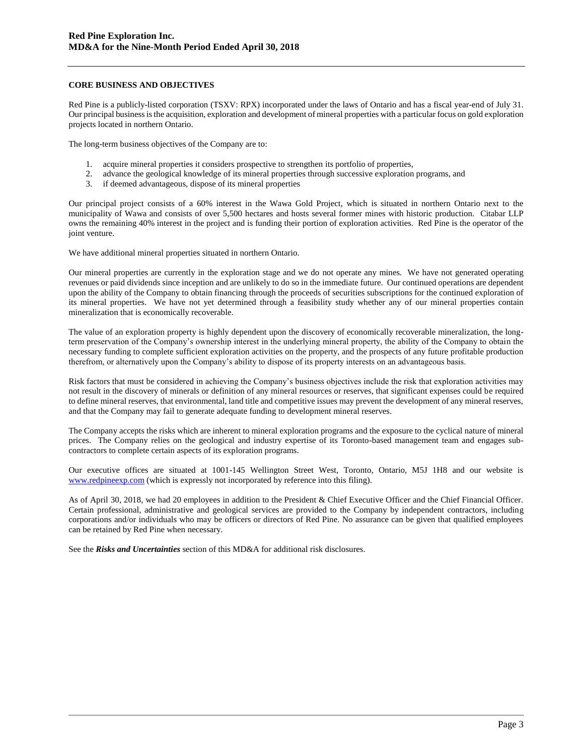# **CORE BUSINESS AND OBJECTIVES**

Red Pine is a publicly-listed corporation (TSXV: RPX) incorporated under the laws of Ontario and has a fiscal year-end of July 31. Our principal business is the acquisition, exploration and development of mineral properties with a particular focus on gold exploration projects located in northern Ontario.

The long-term business objectives of the Company are to:

- 1. acquire mineral properties it considers prospective to strengthen its portfolio of properties,
- 2. advance the geological knowledge of its mineral properties through successive exploration programs, and
- 3. if deemed advantageous, dispose of its mineral properties

Our principal project consists of a 60% interest in the Wawa Gold Project, which is situated in northern Ontario next to the municipality of Wawa and consists of over 5,500 hectares and hosts several former mines with historic production. Citabar LLP owns the remaining 40% interest in the project and is funding their portion of exploration activities. Red Pine is the operator of the joint venture.

We have additional mineral properties situated in northern Ontario.

Our mineral properties are currently in the exploration stage and we do not operate any mines. We have not generated operating revenues or paid dividends since inception and are unlikely to do so in the immediate future. Our continued operations are dependent upon the ability of the Company to obtain financing through the proceeds of securities subscriptions for the continued exploration of its mineral properties. We have not yet determined through a feasibility study whether any of our mineral properties contain mineralization that is economically recoverable.

The value of an exploration property is highly dependent upon the discovery of economically recoverable mineralization, the longterm preservation of the Company's ownership interest in the underlying mineral property, the ability of the Company to obtain the necessary funding to complete sufficient exploration activities on the property, and the prospects of any future profitable production therefrom, or alternatively upon the Company's ability to dispose of its property interests on an advantageous basis.

Risk factors that must be considered in achieving the Company's business objectives include the risk that exploration activities may not result in the discovery of minerals or definition of any mineral resources or reserves, that significant expenses could be required to define mineral reserves, that environmental, land title and competitive issues may prevent the development of any mineral reserves, and that the Company may fail to generate adequate funding to development mineral reserves.

The Company accepts the risks which are inherent to mineral exploration programs and the exposure to the cyclical nature of mineral prices. The Company relies on the geological and industry expertise of its Toronto-based management team and engages subcontractors to complete certain aspects of its exploration programs.

Our executive offices are situated at 1001-145 Wellington Street West, Toronto, Ontario, M5J 1H8 and our website is [www.redpineexp.com](http://www.redpineexp.com/) (which is expressly not incorporated by reference into this filing).

As of April 30, 2018, we had 20 employees in addition to the President & Chief Executive Officer and the Chief Financial Officer. Certain professional, administrative and geological services are provided to the Company by independent contractors, including corporations and/or individuals who may be officers or directors of Red Pine. No assurance can be given that qualified employees can be retained by Red Pine when necessary.

See the *Risks and Uncertainties* section of this MD&A for additional risk disclosures.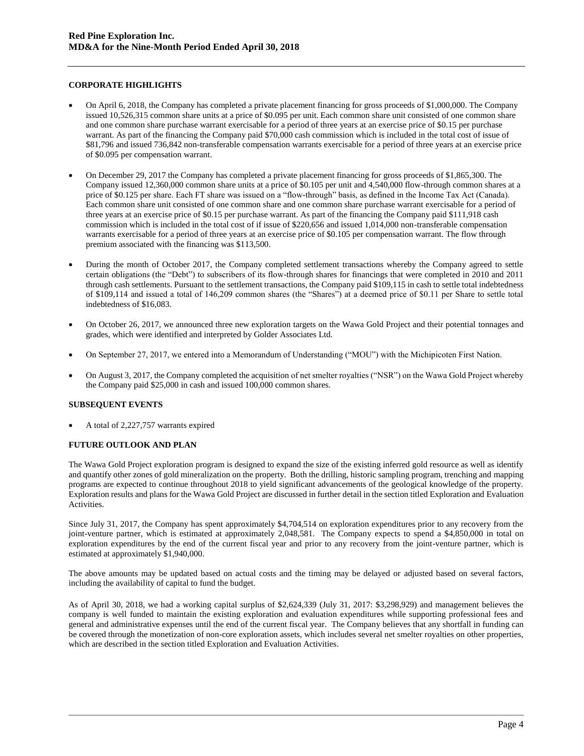# **CORPORATE HIGHLIGHTS**

- On April 6, 2018, the Company has completed a private placement financing for gross proceeds of \$1,000,000. The Company issued 10,526,315 common share units at a price of \$0.095 per unit. Each common share unit consisted of one common share and one common share purchase warrant exercisable for a period of three years at an exercise price of \$0.15 per purchase warrant. As part of the financing the Company paid \$70,000 cash commission which is included in the total cost of issue of \$81,796 and issued 736,842 non-transferable compensation warrants exercisable for a period of three years at an exercise price of \$0.095 per compensation warrant.
- On December 29, 2017 the Company has completed a private placement financing for gross proceeds of \$1,865,300. The Company issued 12,360,000 common share units at a price of \$0.105 per unit and 4,540,000 flow-through common shares at a price of \$0.125 per share. Each FT share was issued on a "flow-through" basis, as defined in the Income Tax Act (Canada). Each common share unit consisted of one common share and one common share purchase warrant exercisable for a period of three years at an exercise price of \$0.15 per purchase warrant. As part of the financing the Company paid \$111,918 cash commission which is included in the total cost of if issue of \$220,656 and issued 1,014,000 non-transferable compensation warrants exercisable for a period of three years at an exercise price of \$0.105 per compensation warrant. The flow through premium associated with the financing was \$113,500.
- During the month of October 2017, the Company completed settlement transactions whereby the Company agreed to settle certain obligations (the "Debt") to subscribers of its flow-through shares for financings that were completed in 2010 and 2011 through cash settlements. Pursuant to the settlement transactions, the Company paid \$109,115 in cash to settle total indebtedness of \$109,114 and issued a total of 146,209 common shares (the "Shares") at a deemed price of \$0.11 per Share to settle total indebtedness of \$16,083.
- On October 26, 2017, we announced three new exploration targets on the Wawa Gold Project and their potential tonnages and grades, which were identified and interpreted by Golder Associates Ltd.
- On September 27, 2017, we entered into a Memorandum of Understanding ("MOU") with the Michipicoten First Nation.
- On August 3, 2017, the Company completed the acquisition of net smelter royalties ("NSR") on the Wawa Gold Project whereby the Company paid \$25,000 in cash and issued 100,000 common shares.

# **SUBSEQUENT EVENTS**

• A total of 2,227,757 warrants expired

# **FUTURE OUTLOOK AND PLAN**

The Wawa Gold Project exploration program is designed to expand the size of the existing inferred gold resource as well as identify and quantify other zones of gold mineralization on the property. Both the drilling, historic sampling program, trenching and mapping programs are expected to continue throughout 2018 to yield significant advancements of the geological knowledge of the property. Exploration results and plans for the Wawa Gold Project are discussed in further detail in the section titled Exploration and Evaluation Activities.

Since July 31, 2017, the Company has spent approximately \$4,704,514 on exploration expenditures prior to any recovery from the joint-venture partner, which is estimated at approximately 2,048,581. The Company expects to spend a \$4,850,000 in total on exploration expenditures by the end of the current fiscal year and prior to any recovery from the joint-venture partner, which is estimated at approximately \$1,940,000.

The above amounts may be updated based on actual costs and the timing may be delayed or adjusted based on several factors, including the availability of capital to fund the budget.

As of April 30, 2018, we had a working capital surplus of \$2,624,339 (July 31, 2017: \$3,298,929) and management believes the company is well funded to maintain the existing exploration and evaluation expenditures while supporting professional fees and general and administrative expenses until the end of the current fiscal year. The Company believes that any shortfall in funding can be covered through the monetization of non-core exploration assets, which includes several net smelter royalties on other properties, which are described in the section titled Exploration and Evaluation Activities.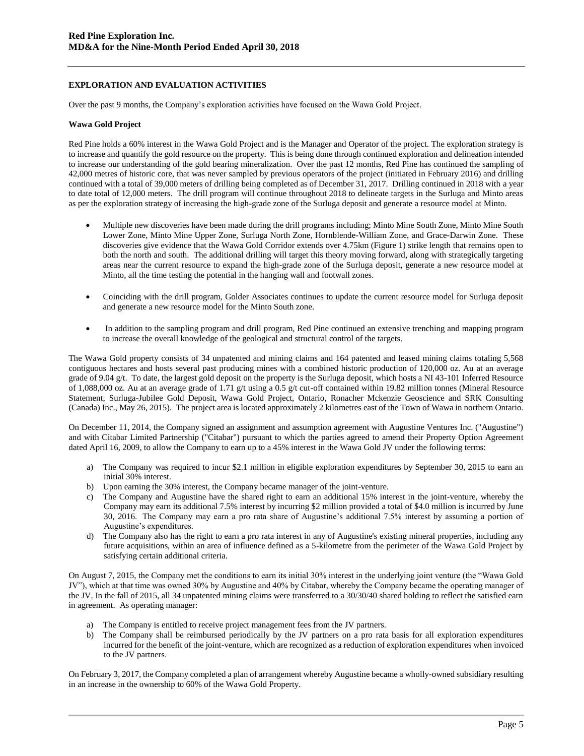# **EXPLORATION AND EVALUATION ACTIVITIES**

Over the past 9 months, the Company's exploration activities have focused on the Wawa Gold Project.

### **Wawa Gold Project**

Red Pine holds a 60% interest in the Wawa Gold Project and is the Manager and Operator of the project. The exploration strategy is to increase and quantify the gold resource on the property. This is being done through continued exploration and delineation intended to increase our understanding of the gold bearing mineralization. Over the past 12 months, Red Pine has continued the sampling of 42,000 metres of historic core, that was never sampled by previous operators of the project (initiated in February 2016) and drilling continued with a total of 39,000 meters of drilling being completed as of December 31, 2017. Drilling continued in 2018 with a year to date total of 12,000 meters. The drill program will continue throughout 2018 to delineate targets in the Surluga and Minto areas as per the exploration strategy of increasing the high-grade zone of the Surluga deposit and generate a resource model at Minto.

- Multiple new discoveries have been made during the drill programs including; Minto Mine South Zone, Minto Mine South Lower Zone, Minto Mine Upper Zone, Surluga North Zone, Hornblende-William Zone, and Grace-Darwin Zone. These discoveries give evidence that the Wawa Gold Corridor extends over 4.75km (Figure 1) strike length that remains open to both the north and south. The additional drilling will target this theory moving forward, along with strategically targeting areas near the current resource to expand the high-grade zone of the Surluga deposit, generate a new resource model at Minto, all the time testing the potential in the hanging wall and footwall zones.
- Coinciding with the drill program, Golder Associates continues to update the current resource model for Surluga deposit and generate a new resource model for the Minto South zone.
- In addition to the sampling program and drill program, Red Pine continued an extensive trenching and mapping program to increase the overall knowledge of the geological and structural control of the targets.

The Wawa Gold property consists of 34 unpatented and mining claims and 164 patented and leased mining claims totaling 5,568 contiguous hectares and hosts several past producing mines with a combined historic production of 120,000 oz. Au at an average grade of 9.04 g/t. To date, the largest gold deposit on the property is the Surluga deposit, which hosts a NI 43-101 Inferred Resource of 1,088,000 oz. Au at an average grade of 1.71 g/t using a 0.5 g/t cut-off contained within 19.82 million tonnes (Mineral Resource Statement, Surluga-Jubilee Gold Deposit, Wawa Gold Project, Ontario, Ronacher Mckenzie Geoscience and SRK Consulting (Canada) Inc., May 26, 2015). The project area is located approximately 2 kilometres east of the Town of Wawa in northern Ontario.

On December 11, 2014, the Company signed an assignment and assumption agreement with Augustine Ventures Inc. ("Augustine") and with Citabar Limited Partnership ("Citabar") pursuant to which the parties agreed to amend their Property Option Agreement dated April 16, 2009, to allow the Company to earn up to a 45% interest in the Wawa Gold JV under the following terms:

- a) The Company was required to incur \$2.1 million in eligible exploration expenditures by September 30, 2015 to earn an initial 30% interest.
- b) Upon earning the 30% interest, the Company became manager of the joint-venture.
- c) The Company and Augustine have the shared right to earn an additional 15% interest in the joint-venture, whereby the Company may earn its additional 7.5% interest by incurring \$2 million provided a total of \$4.0 million is incurred by June 30, 2016. The Company may earn a pro rata share of Augustine's additional 7.5% interest by assuming a portion of Augustine's expenditures.
- d) The Company also has the right to earn a pro rata interest in any of Augustine's existing mineral properties, including any future acquisitions, within an area of influence defined as a 5-kilometre from the perimeter of the Wawa Gold Project by satisfying certain additional criteria.

On August 7, 2015, the Company met the conditions to earn its initial 30% interest in the underlying joint venture (the "Wawa Gold JV"), which at that time was owned 30% by Augustine and 40% by Citabar, whereby the Company became the operating manager of the JV. In the fall of 2015, all 34 unpatented mining claims were transferred to a 30/30/40 shared holding to reflect the satisfied earn in agreement. As operating manager:

- a) The Company is entitled to receive project management fees from the JV partners.
- b) The Company shall be reimbursed periodically by the JV partners on a pro rata basis for all exploration expenditures incurred for the benefit of the joint-venture, which are recognized as a reduction of exploration expenditures when invoiced to the JV partners.

On February 3, 2017, the Company completed a plan of arrangement whereby Augustine became a wholly-owned subsidiary resulting in an increase in the ownership to 60% of the Wawa Gold Property.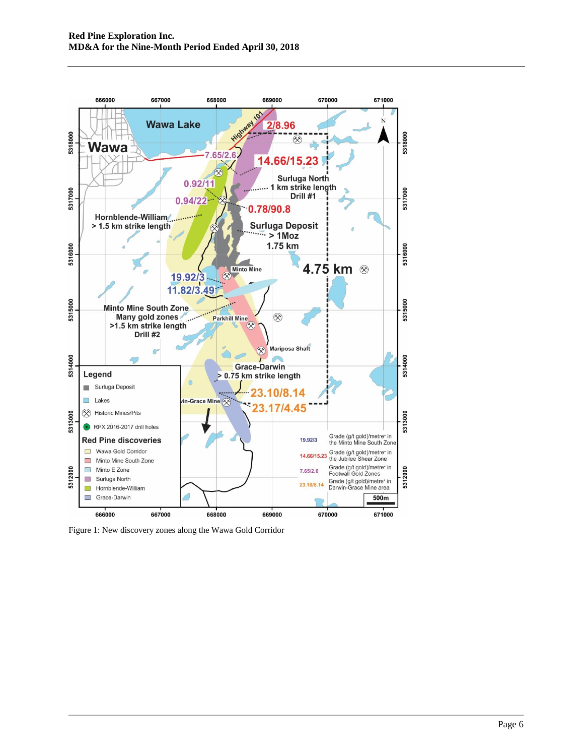

Figure 1: New discovery zones along the Wawa Gold Corridor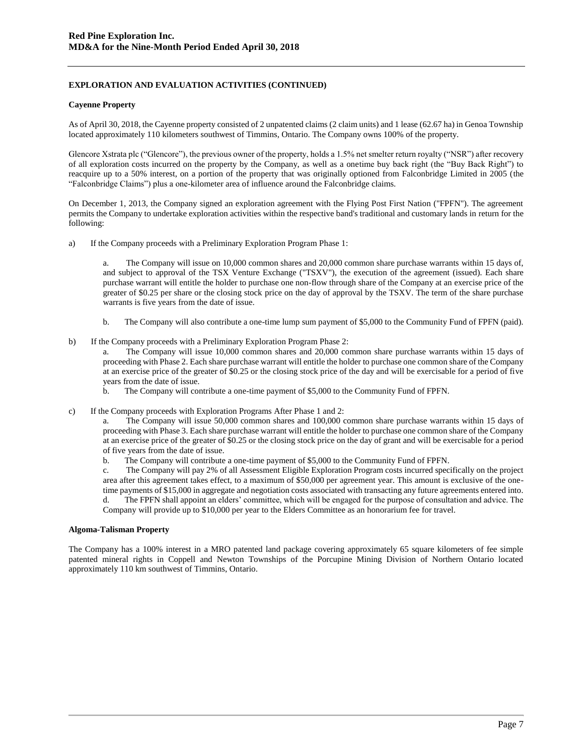# **EXPLORATION AND EVALUATION ACTIVITIES (CONTINUED)**

### **Cayenne Property**

As of April 30, 2018, the Cayenne property consisted of 2 unpatented claims (2 claim units) and 1 lease (62.67 ha) in Genoa Township located approximately 110 kilometers southwest of Timmins, Ontario. The Company owns 100% of the property.

Glencore Xstrata plc ("Glencore"), the previous owner of the property, holds a 1.5% net smelter return royalty ("NSR") after recovery of all exploration costs incurred on the property by the Company, as well as a onetime buy back right (the "Buy Back Right") to reacquire up to a 50% interest, on a portion of the property that was originally optioned from Falconbridge Limited in 2005 (the "Falconbridge Claims") plus a one-kilometer area of influence around the Falconbridge claims.

On December 1, 2013, the Company signed an exploration agreement with the Flying Post First Nation ("FPFN"). The agreement permits the Company to undertake exploration activities within the respective band's traditional and customary lands in return for the following:

a) If the Company proceeds with a Preliminary Exploration Program Phase 1:

a. The Company will issue on 10,000 common shares and 20,000 common share purchase warrants within 15 days of, and subject to approval of the TSX Venture Exchange ("TSXV"), the execution of the agreement (issued). Each share purchase warrant will entitle the holder to purchase one non-flow through share of the Company at an exercise price of the greater of \$0.25 per share or the closing stock price on the day of approval by the TSXV. The term of the share purchase warrants is five years from the date of issue.

- b. The Company will also contribute a one-time lump sum payment of \$5,000 to the Community Fund of FPFN (paid).
- b) If the Company proceeds with a Preliminary Exploration Program Phase 2:

a. The Company will issue 10,000 common shares and 20,000 common share purchase warrants within 15 days of proceeding with Phase 2. Each share purchase warrant will entitle the holder to purchase one common share of the Company at an exercise price of the greater of \$0.25 or the closing stock price of the day and will be exercisable for a period of five years from the date of issue.

- b. The Company will contribute a one-time payment of \$5,000 to the Community Fund of FPFN.
- c) If the Company proceeds with Exploration Programs After Phase 1 and 2:

a. The Company will issue 50,000 common shares and 100,000 common share purchase warrants within 15 days of proceeding with Phase 3. Each share purchase warrant will entitle the holder to purchase one common share of the Company at an exercise price of the greater of \$0.25 or the closing stock price on the day of grant and will be exercisable for a period of five years from the date of issue.

b. The Company will contribute a one-time payment of \$5,000 to the Community Fund of FPFN.

c. The Company will pay 2% of all Assessment Eligible Exploration Program costs incurred specifically on the project area after this agreement takes effect, to a maximum of \$50,000 per agreement year. This amount is exclusive of the onetime payments of \$15,000 in aggregate and negotiation costs associated with transacting any future agreements entered into. d. The FPFN shall appoint an elders' committee, which will be engaged for the purpose of consultation and advice. The

Company will provide up to \$10,000 per year to the Elders Committee as an honorarium fee for travel.

# **Algoma-Talisman Property**

The Company has a 100% interest in a MRO patented land package covering approximately 65 square kilometers of fee simple patented mineral rights in Coppell and Newton Townships of the Porcupine Mining Division of Northern Ontario located approximately 110 km southwest of Timmins, Ontario.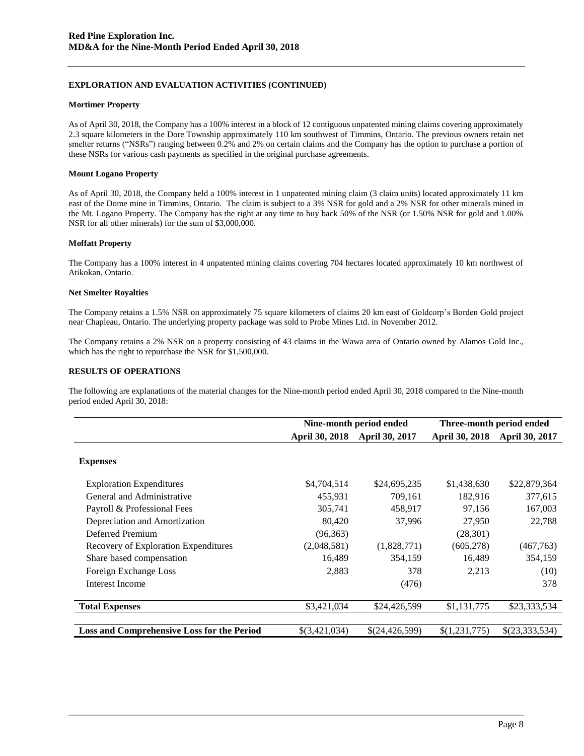# **EXPLORATION AND EVALUATION ACTIVITIES (CONTINUED)**

### **Mortimer Property**

As of April 30, 2018, the Company has a 100% interest in a block of 12 contiguous unpatented mining claims covering approximately 2.3 square kilometers in the Dore Township approximately 110 km southwest of Timmins, Ontario. The previous owners retain net smelter returns ("NSRs") ranging between 0.2% and 2% on certain claims and the Company has the option to purchase a portion of these NSRs for various cash payments as specified in the original purchase agreements.

### **Mount Logano Property**

As of April 30, 2018, the Company held a 100% interest in 1 unpatented mining claim (3 claim units) located approximately 11 km east of the Dome mine in Timmins, Ontario. The claim is subject to a 3% NSR for gold and a 2% NSR for other minerals mined in the Mt. Logano Property. The Company has the right at any time to buy back 50% of the NSR (or 1.50% NSR for gold and 1.00% NSR for all other minerals) for the sum of \$3,000,000.

### **Moffatt Property**

The Company has a 100% interest in 4 unpatented mining claims covering 704 hectares located approximately 10 km northwest of Atikokan, Ontario.

### **Net Smelter Royalties**

The Company retains a 1.5% NSR on approximately 75 square kilometers of claims 20 km east of Goldcorp's Borden Gold project near Chapleau, Ontario. The underlying property package was sold to Probe Mines Ltd. in November 2012.

The Company retains a 2% NSR on a property consisting of 43 claims in the Wawa area of Ontario owned by Alamos Gold Inc., which has the right to repurchase the NSR for \$1,500,000.

### **RESULTS OF OPERATIONS**

The following are explanations of the material changes for the Nine-month period ended April 30, 2018 compared to the Nine-month period ended April 30, 2018:

|                                                   |                       | Nine-month period ended |                       | Three-month period ended |
|---------------------------------------------------|-----------------------|-------------------------|-----------------------|--------------------------|
|                                                   | <b>April 30, 2018</b> | April 30, 2017          | <b>April 30, 2018</b> | April 30, 2017           |
| <b>Expenses</b>                                   |                       |                         |                       |                          |
| <b>Exploration Expenditures</b>                   | \$4,704,514           | \$24,695,235            | \$1,438,630           | \$22,879,364             |
| General and Administrative                        | 455,931               | 709,161                 | 182,916               | 377,615                  |
| Payroll & Professional Fees                       | 305,741               | 458,917                 | 97.156                | 167,003                  |
| Depreciation and Amortization                     | 80,420                | 37,996                  | 27,950                | 22,788                   |
| Deferred Premium                                  | (96, 363)             |                         | (28,301)              |                          |
| Recovery of Exploration Expenditures              | (2,048,581)           | (1,828,771)             | (605, 278)            | (467, 763)               |
| Share based compensation                          | 16,489                | 354,159                 | 16,489                | 354,159                  |
| Foreign Exchange Loss                             | 2,883                 | 378                     | 2,213                 | (10)                     |
| Interest Income                                   |                       | (476)                   |                       | 378                      |
| <b>Total Expenses</b>                             | \$3,421,034           | \$24,426,599            | \$1,131,775           | \$23,333,534             |
| <b>Loss and Comprehensive Loss for the Period</b> | \$(3,421,034)         | \$(24,426,599)          | \$(1,231,775)         | \$(23,333,534)           |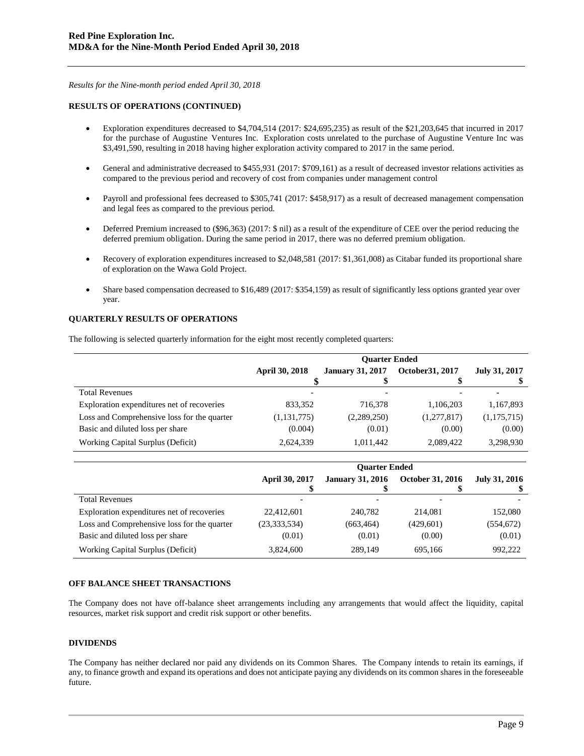*Results for the Nine-month period ended April 30, 2018*

### **RESULTS OF OPERATIONS (CONTINUED)**

- Exploration expenditures decreased to \$4,704,514 (2017: \$24,695,235) as result of the \$21,203,645 that incurred in 2017 for the purchase of Augustine Ventures Inc. Exploration costs unrelated to the purchase of Augustine Venture Inc was \$3,491,590, resulting in 2018 having higher exploration activity compared to 2017 in the same period.
- General and administrative decreased to \$455,931 (2017: \$709,161) as a result of decreased investor relations activities as compared to the previous period and recovery of cost from companies under management control
- Payroll and professional fees decreased to \$305,741 (2017: \$458,917) as a result of decreased management compensation and legal fees as compared to the previous period.
- Deferred Premium increased to (\$96,363) (2017: \$ nil) as a result of the expenditure of CEE over the period reducing the deferred premium obligation. During the same period in 2017, there was no deferred premium obligation.
- Recovery of exploration expenditures increased to \$2,048,581 (2017: \$1,361,008) as Citabar funded its proportional share of exploration on the Wawa Gold Project.
- Share based compensation decreased to \$16,489 (2017: \$354,159) as result of significantly less options granted year over year.

# **QUARTERLY RESULTS OF OPERATIONS**

The following is selected quarterly information for the eight most recently completed quarters:

|                                             | <b>Ouarter Ended</b>  |                         |                  |               |  |  |
|---------------------------------------------|-----------------------|-------------------------|------------------|---------------|--|--|
|                                             | <b>April 30, 2018</b> | <b>January 31, 2017</b> | October 31, 2017 | July 31, 2017 |  |  |
| <b>Total Revenues</b>                       |                       |                         |                  |               |  |  |
| Exploration expenditures net of recoveries  | 833,352               | 716,378                 | 1,106,203        | 1,167,893     |  |  |
| Loss and Comprehensive loss for the quarter | (1, 131, 775)         | (2,289,250)             | (1,277,817)      | (1,175,715)   |  |  |
| Basic and diluted loss per share            | (0.004)               | (0.01)                  | (0.00)           | (0.00)        |  |  |
| Working Capital Surplus (Deficit)           | 2,624,339             | 1,011,442               | 2,089,422        | 3,298,930     |  |  |

|                                             | <b>Ouarter Ended</b>     |                         |                         |               |  |
|---------------------------------------------|--------------------------|-------------------------|-------------------------|---------------|--|
|                                             | April 30, 2017           | <b>January 31, 2016</b> | <b>October 31, 2016</b> | July 31, 2016 |  |
| <b>Total Revenues</b>                       | $\overline{\phantom{0}}$ |                         | -                       |               |  |
| Exploration expenditures net of recoveries  | 22,412,601               | 240,782                 | 214.081                 | 152,080       |  |
| Loss and Comprehensive loss for the quarter | (23, 333, 534)           | (663, 464)              | (429,601)               | (554, 672)    |  |
| Basic and diluted loss per share            | (0.01)                   | (0.01)                  | (0.00)                  | (0.01)        |  |
| Working Capital Surplus (Deficit)           | 3,824,600                | 289,149                 | 695,166                 | 992,222       |  |

# **OFF BALANCE SHEET TRANSACTIONS**

The Company does not have off-balance sheet arrangements including any arrangements that would affect the liquidity, capital resources, market risk support and credit risk support or other benefits.

#### **DIVIDENDS**

The Company has neither declared nor paid any dividends on its Common Shares. The Company intends to retain its earnings, if any, to finance growth and expand its operations and does not anticipate paying any dividends on its common shares in the foreseeable future.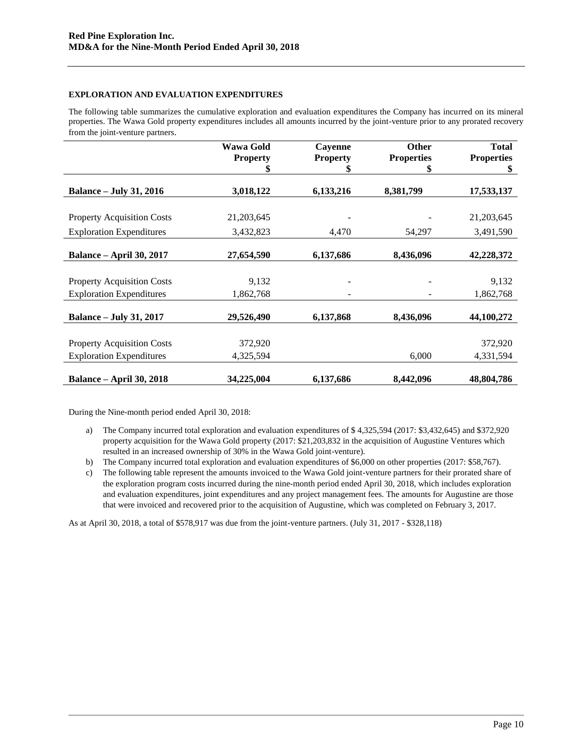# **EXPLORATION AND EVALUATION EXPENDITURES**

The following table summarizes the cumulative exploration and evaluation expenditures the Company has incurred on its mineral properties. The Wawa Gold property expenditures includes all amounts incurred by the joint-venture prior to any prorated recovery from the joint-venture partners.

|                                   | <b>Wawa Gold</b> | Cayenne         | <b>Other</b>      | <b>Total</b>      |
|-----------------------------------|------------------|-----------------|-------------------|-------------------|
|                                   | <b>Property</b>  | <b>Property</b> | <b>Properties</b> | <b>Properties</b> |
|                                   |                  |                 |                   | \$                |
| <b>Balance – July 31, 2016</b>    | 3,018,122        | 6,133,216       | 8,381,799         | 17,533,137        |
|                                   |                  |                 |                   |                   |
| <b>Property Acquisition Costs</b> | 21,203,645       |                 |                   | 21,203,645        |
| <b>Exploration Expenditures</b>   | 3,432,823        | 4,470           | 54,297            | 3,491,590         |
| <b>Balance - April 30, 2017</b>   | 27,654,590       | 6,137,686       | 8,436,096         | 42,228,372        |
|                                   |                  |                 |                   |                   |
| <b>Property Acquisition Costs</b> | 9,132            |                 |                   | 9,132             |
| <b>Exploration Expenditures</b>   | 1,862,768        |                 |                   | 1,862,768         |
| <b>Balance - July 31, 2017</b>    | 29,526,490       | 6,137,868       | 8,436,096         | 44,100,272        |
|                                   |                  |                 |                   |                   |
| <b>Property Acquisition Costs</b> | 372,920          |                 |                   | 372,920           |
| <b>Exploration Expenditures</b>   | 4,325,594        |                 | 6,000             | 4,331,594         |
| <b>Balance - April 30, 2018</b>   | 34,225,004       | 6,137,686       | 8,442,096         | 48,804,786        |

During the Nine-month period ended April 30, 2018:

- a) The Company incurred total exploration and evaluation expenditures of \$ 4,325,594 (2017: \$3,432,645) and \$372,920 property acquisition for the Wawa Gold property (2017: \$21,203,832 in the acquisition of Augustine Ventures which resulted in an increased ownership of 30% in the Wawa Gold joint-venture).
- b) The Company incurred total exploration and evaluation expenditures of \$6,000 on other properties (2017: \$58,767).
- c) The following table represent the amounts invoiced to the Wawa Gold joint-venture partners for their prorated share of the exploration program costs incurred during the nine-month period ended April 30, 2018, which includes exploration and evaluation expenditures, joint expenditures and any project management fees. The amounts for Augustine are those that were invoiced and recovered prior to the acquisition of Augustine, which was completed on February 3, 2017.

As at April 30, 2018, a total of \$578,917 was due from the joint-venture partners. (July 31, 2017 - \$328,118)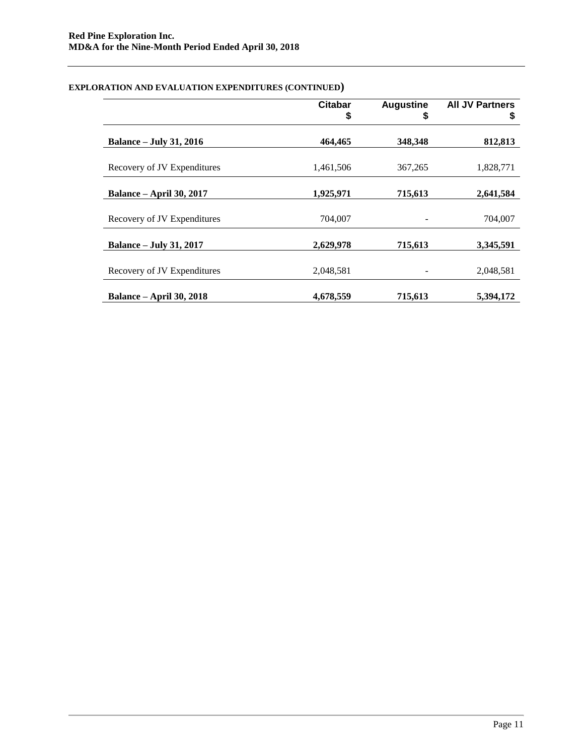# **EXPLORATION AND EVALUATION EXPENDITURES (CONTINUED)**

|                                 | <b>Citabar</b><br>\$ | <b>Augustine</b><br>S | <b>All JV Partners</b><br>\$ |
|---------------------------------|----------------------|-----------------------|------------------------------|
| <b>Balance – July 31, 2016</b>  | 464,465              | 348,348               | 812,813                      |
| Recovery of JV Expenditures     | 1,461,506            | 367,265               | 1,828,771                    |
| <b>Balance – April 30, 2017</b> | 1,925,971            | 715,613               | 2,641,584                    |
| Recovery of JV Expenditures     | 704,007              |                       | 704,007                      |
| <b>Balance – July 31, 2017</b>  | 2,629,978            | 715,613               | 3,345,591                    |
| Recovery of JV Expenditures     | 2,048,581            |                       | 2,048,581                    |
| <b>Balance – April 30, 2018</b> | 4,678,559            | 715,613               | 5,394,172                    |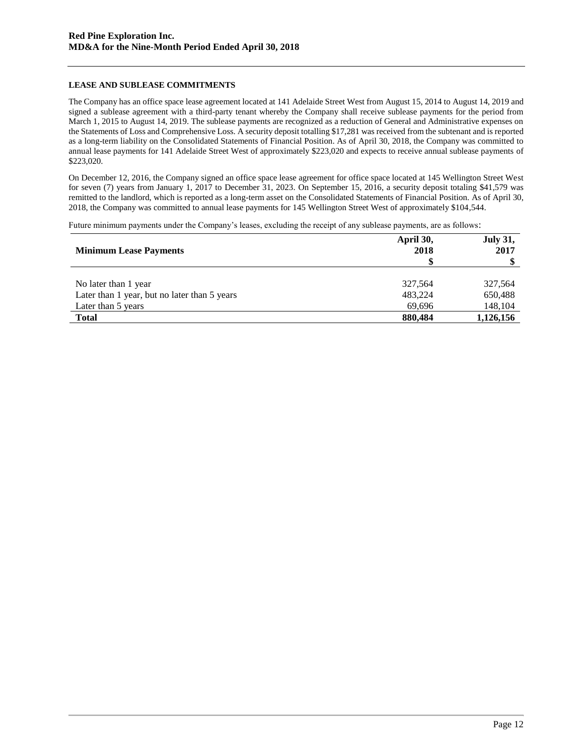# **LEASE AND SUBLEASE COMMITMENTS**

The Company has an office space lease agreement located at 141 Adelaide Street West from August 15, 2014 to August 14, 2019 and signed a sublease agreement with a third-party tenant whereby the Company shall receive sublease payments for the period from March 1, 2015 to August 14, 2019. The sublease payments are recognized as a reduction of General and Administrative expenses on the Statements of Loss and Comprehensive Loss. A security deposit totalling \$17,281 was received from the subtenant and is reported as a long-term liability on the Consolidated Statements of Financial Position. As of April 30, 2018, the Company was committed to annual lease payments for 141 Adelaide Street West of approximately \$223,020 and expects to receive annual sublease payments of \$223,020.

On December 12, 2016, the Company signed an office space lease agreement for office space located at 145 Wellington Street West for seven (7) years from January 1, 2017 to December 31, 2023. On September 15, 2016, a security deposit totaling \$41,579 was remitted to the landlord, which is reported as a long-term asset on the Consolidated Statements of Financial Position. As of April 30, 2018, the Company was committed to annual lease payments for 145 Wellington Street West of approximately \$104,544.

Future minimum payments under the Company's leases, excluding the receipt of any sublease payments, are as follows:

| <b>Minimum Lease Payments</b>                | April 30,<br>2018 | <b>July 31,</b><br>2017 |
|----------------------------------------------|-------------------|-------------------------|
| No later than 1 year                         | 327.564           | 327.564                 |
| Later than 1 year, but no later than 5 years | 483,224           | 650,488                 |
| Later than 5 years                           | 69,696            | 148,104                 |
| <b>Total</b>                                 | 880,484           | 1,126,156               |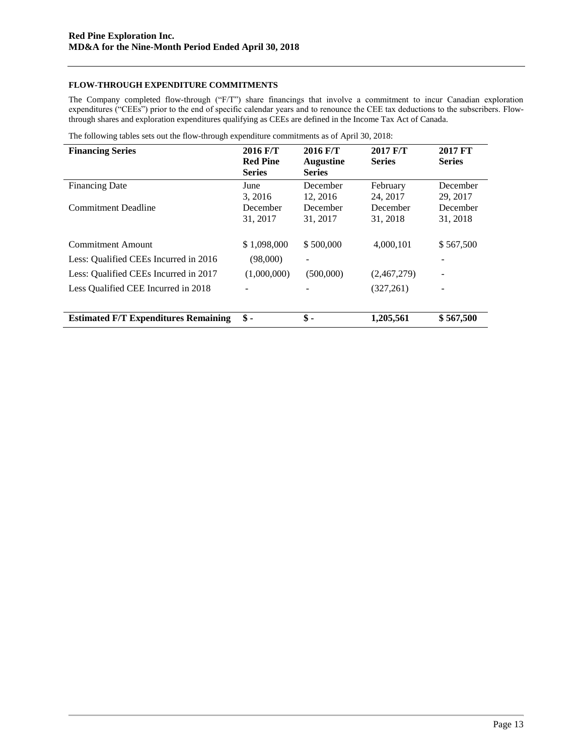# **FLOW-THROUGH EXPENDITURE COMMITMENTS**

The Company completed flow-through ("F/T") share financings that involve a commitment to incur Canadian exploration expenditures ("CEEs") prior to the end of specific calendar years and to renounce the CEE tax deductions to the subscribers. Flowthrough shares and exploration expenditures qualifying as CEEs are defined in the Income Tax Act of Canada.

| <b>Financing Series</b>                     | 2016 F/T<br><b>Red Pine</b><br><b>Series</b> | 2016 F/T<br><b>Augustine</b><br><b>Series</b> | 2017 F/T<br><b>Series</b> | 2017 FT<br><b>Series</b> |
|---------------------------------------------|----------------------------------------------|-----------------------------------------------|---------------------------|--------------------------|
| <b>Financing Date</b>                       | June<br>3, 2016                              | December<br>12, 2016                          | February<br>24, 2017      | December<br>29, 2017     |
| <b>Commitment Deadline</b>                  | December<br>31, 2017                         | December<br>31, 2017                          | December<br>31, 2018      | December<br>31, 2018     |
| Commitment Amount                           | \$1,098,000                                  | \$500,000                                     | 4,000,101                 | \$567,500                |
| Less: Qualified CEEs Incurred in 2016       | (98,000)                                     |                                               |                           |                          |
| Less: Qualified CEEs Incurred in 2017       | (1,000,000)                                  | (500,000)                                     | (2,467,279)               |                          |
| Less Qualified CEE Incurred in 2018         |                                              |                                               | (327,261)                 |                          |
| <b>Estimated F/T Expenditures Remaining</b> | \$ -                                         | \$-                                           | 1,205,561                 | \$567,500                |

The following tables sets out the flow-through expenditure commitments as of April 30, 2018: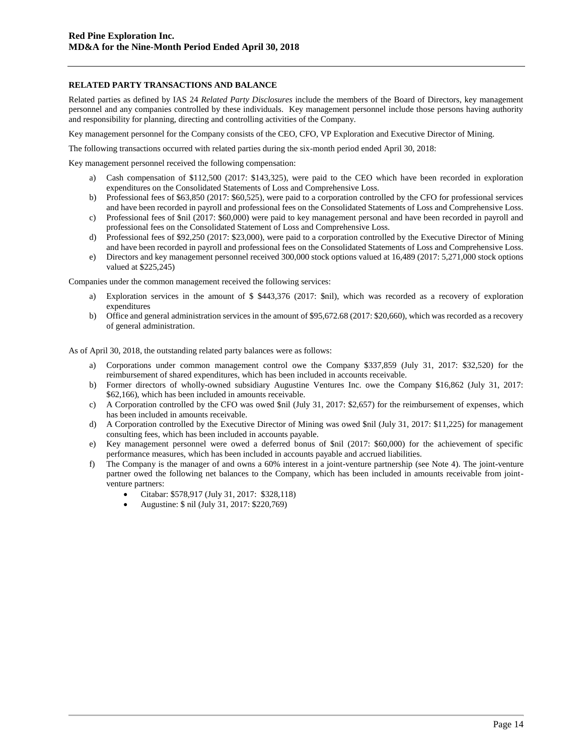# **RELATED PARTY TRANSACTIONS AND BALANCE**

Related parties as defined by IAS 24 *Related Party Disclosures* include the members of the Board of Directors, key management personnel and any companies controlled by these individuals. Key management personnel include those persons having authority and responsibility for planning, directing and controlling activities of the Company.

Key management personnel for the Company consists of the CEO, CFO, VP Exploration and Executive Director of Mining.

The following transactions occurred with related parties during the six-month period ended April 30, 2018:

Key management personnel received the following compensation:

- a) Cash compensation of \$112,500 (2017: \$143,325), were paid to the CEO which have been recorded in exploration expenditures on the Consolidated Statements of Loss and Comprehensive Loss.
- b) Professional fees of \$63,850 (2017: \$60,525), were paid to a corporation controlled by the CFO for professional services and have been recorded in payroll and professional fees on the Consolidated Statements of Loss and Comprehensive Loss.
- c) Professional fees of \$nil (2017: \$60,000) were paid to key management personal and have been recorded in payroll and professional fees on the Consolidated Statement of Loss and Comprehensive Loss.
- d) Professional fees of \$92,250 (2017: \$23,000), were paid to a corporation controlled by the Executive Director of Mining and have been recorded in payroll and professional fees on the Consolidated Statements of Loss and Comprehensive Loss.
- e) Directors and key management personnel received 300,000 stock options valued at 16,489 (2017: 5,271,000 stock options valued at \$225,245)

Companies under the common management received the following services:

- a) Exploration services in the amount of \$ \$443,376 (2017: \$nil), which was recorded as a recovery of exploration expenditures
- b) Office and general administration services in the amount of \$95,672.68 (2017: \$20,660), which was recorded as a recovery of general administration.

As of April 30, 2018, the outstanding related party balances were as follows:

- a) Corporations under common management control owe the Company \$337,859 (July 31, 2017: \$32,520) for the reimbursement of shared expenditures, which has been included in accounts receivable.
- b) Former directors of wholly-owned subsidiary Augustine Ventures Inc. owe the Company \$16,862 (July 31, 2017: \$62,166), which has been included in amounts receivable.
- c) A Corporation controlled by the CFO was owed \$nil (July 31, 2017: \$2,657) for the reimbursement of expenses, which has been included in amounts receivable.
- d) A Corporation controlled by the Executive Director of Mining was owed \$nil (July 31, 2017: \$11,225) for management consulting fees, which has been included in accounts payable.
- e) Key management personnel were owed a deferred bonus of \$nil (2017: \$60,000) for the achievement of specific performance measures, which has been included in accounts payable and accrued liabilities.
- f) The Company is the manager of and owns a 60% interest in a joint-venture partnership (see Note 4). The joint-venture partner owed the following net balances to the Company, which has been included in amounts receivable from jointventure partners:
	- Citabar: \$578,917 (July 31, 2017: \$328,118)
	- Augustine: \$ nil (July 31, 2017: \$220,769)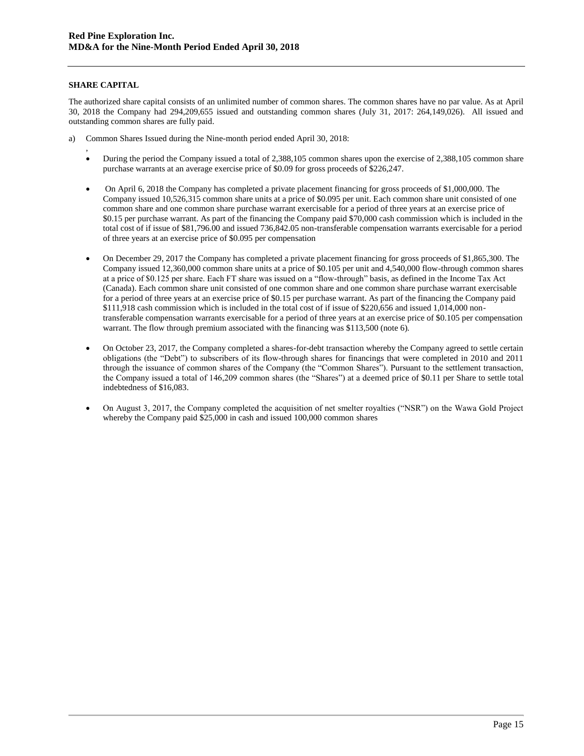# **SHARE CAPITAL**

The authorized share capital consists of an unlimited number of common shares. The common shares have no par value. As at April 30, 2018 the Company had 294,209,655 issued and outstanding common shares (July 31, 2017: 264,149,026). All issued and outstanding common shares are fully paid.

- a) Common Shares Issued during the Nine-month period ended April 30, 2018:
	- , • During the period the Company issued a total of 2,388,105 common shares upon the exercise of 2,388,105 common share purchase warrants at an average exercise price of \$0.09 for gross proceeds of \$226,247.
	- On April 6, 2018 the Company has completed a private placement financing for gross proceeds of \$1,000,000. The Company issued 10,526,315 common share units at a price of \$0.095 per unit. Each common share unit consisted of one common share and one common share purchase warrant exercisable for a period of three years at an exercise price of \$0.15 per purchase warrant. As part of the financing the Company paid \$70,000 cash commission which is included in the total cost of if issue of \$81,796.00 and issued 736,842.05 non-transferable compensation warrants exercisable for a period of three years at an exercise price of \$0.095 per compensation
	- On December 29, 2017 the Company has completed a private placement financing for gross proceeds of \$1,865,300. The Company issued 12,360,000 common share units at a price of \$0.105 per unit and 4,540,000 flow-through common shares at a price of \$0.125 per share. Each FT share was issued on a "flow-through" basis, as defined in the Income Tax Act (Canada). Each common share unit consisted of one common share and one common share purchase warrant exercisable for a period of three years at an exercise price of \$0.15 per purchase warrant. As part of the financing the Company paid \$111,918 cash commission which is included in the total cost of if issue of \$220,656 and issued 1,014,000 nontransferable compensation warrants exercisable for a period of three years at an exercise price of \$0.105 per compensation warrant. The flow through premium associated with the financing was \$113,500 (note 6).
	- On October 23, 2017, the Company completed a shares-for-debt transaction whereby the Company agreed to settle certain obligations (the "Debt") to subscribers of its flow-through shares for financings that were completed in 2010 and 2011 through the issuance of common shares of the Company (the "Common Shares"). Pursuant to the settlement transaction, the Company issued a total of 146,209 common shares (the "Shares") at a deemed price of \$0.11 per Share to settle total indebtedness of \$16,083.
	- On August 3, 2017, the Company completed the acquisition of net smelter royalties ("NSR") on the Wawa Gold Project whereby the Company paid \$25,000 in cash and issued 100,000 common shares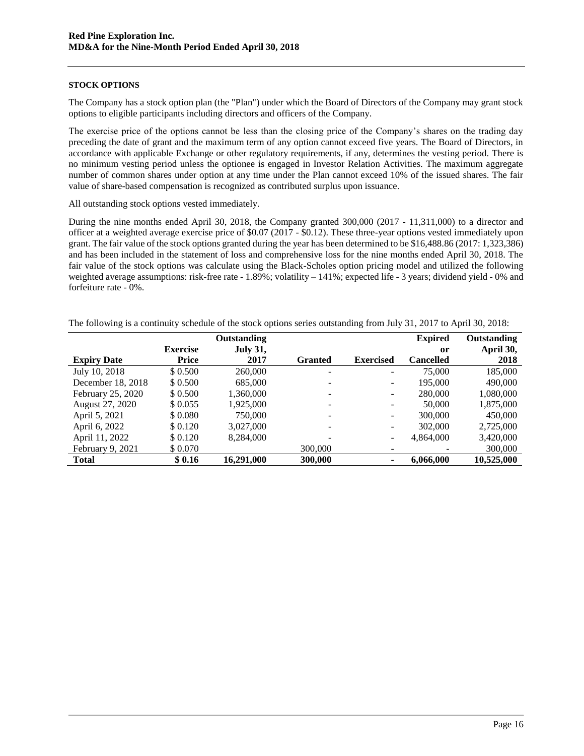# **STOCK OPTIONS**

The Company has a stock option plan (the "Plan") under which the Board of Directors of the Company may grant stock options to eligible participants including directors and officers of the Company.

The exercise price of the options cannot be less than the closing price of the Company's shares on the trading day preceding the date of grant and the maximum term of any option cannot exceed five years. The Board of Directors, in accordance with applicable Exchange or other regulatory requirements, if any, determines the vesting period. There is no minimum vesting period unless the optionee is engaged in Investor Relation Activities. The maximum aggregate number of common shares under option at any time under the Plan cannot exceed 10% of the issued shares. The fair value of share-based compensation is recognized as contributed surplus upon issuance.

All outstanding stock options vested immediately.

During the nine months ended April 30, 2018, the Company granted 300,000 (2017 - 11,311,000) to a director and officer at a weighted average exercise price of \$0.07 (2017 - \$0.12). These three-year options vested immediately upon grant. The fair value of the stock options granted during the year has been determined to be \$16,488.86 (2017: 1,323,386) and has been included in the statement of loss and comprehensive loss for the nine months ended April 30, 2018. The fair value of the stock options was calculate using the Black-Scholes option pricing model and utilized the following weighted average assumptions: risk-free rate - 1.89%; volatility – 141%; expected life - 3 years; dividend yield - 0% and forfeiture rate - 0%.

|                    |                 | <b>Outstanding</b> |                          |                  | <b>Expired</b>   | <b>Outstanding</b> |
|--------------------|-----------------|--------------------|--------------------------|------------------|------------------|--------------------|
|                    | <b>Exercise</b> | <b>July 31,</b>    |                          |                  | <sub>or</sub>    | April 30,          |
| <b>Expiry Date</b> | Price           | 2017               | <b>Granted</b>           | <b>Exercised</b> | <b>Cancelled</b> | 2018               |
| July 10, 2018      | \$ 0.500        | 260,000            | $\overline{\phantom{0}}$ | ۰                | 75,000           | 185,000            |
| December 18, 2018  | \$ 0.500        | 685,000            |                          | ۰                | 195,000          | 490,000            |
| February 25, 2020  | \$ 0.500        | 1,360,000          |                          | -                | 280,000          | 1,080,000          |
| August 27, 2020    | \$0.055         | 1,925,000          |                          | $\overline{a}$   | 50,000           | 1,875,000          |
| April 5, 2021      | \$ 0.080        | 750,000            |                          | $\overline{a}$   | 300,000          | 450,000            |
| April 6, 2022      | \$ 0.120        | 3,027,000          |                          | ۰                | 302,000          | 2,725,000          |
| April 11, 2022     | \$ 0.120        | 8,284,000          |                          | ۰                | 4,864,000        | 3,420,000          |
| February 9, 2021   | \$ 0.070        |                    | 300,000                  | -                |                  | 300,000            |
| <b>Total</b>       | \$0.16          | 16,291,000         | 300,000                  |                  | 6,066,000        | 10,525,000         |

The following is a continuity schedule of the stock options series outstanding from July 31, 2017 to April 30, 2018: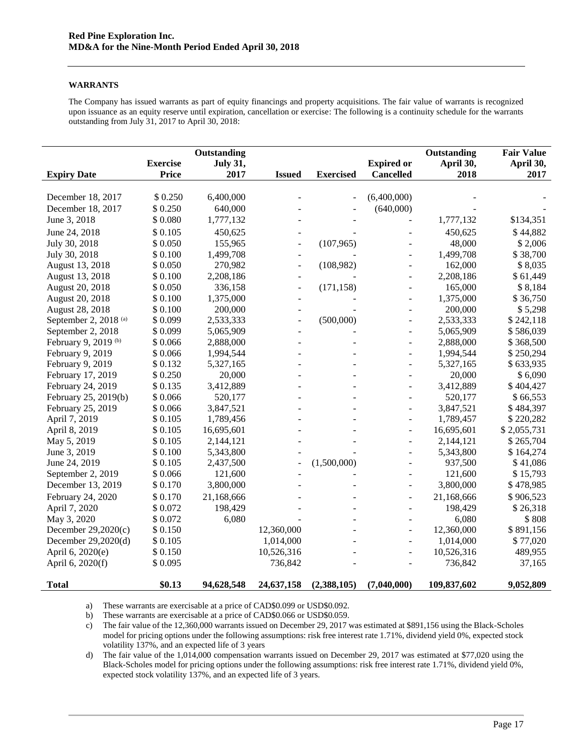# **WARRANTS**

The Company has issued warrants as part of equity financings and property acquisitions. The fair value of warrants is recognized upon issuance as an equity reserve until expiration, cancellation or exercise: The following is a continuity schedule for the warrants outstanding from July 31, 2017 to April 30, 2018:

|                       |                 | Outstanding     |                          |                  |                   | Outstanding | <b>Fair Value</b> |
|-----------------------|-----------------|-----------------|--------------------------|------------------|-------------------|-------------|-------------------|
|                       | <b>Exercise</b> | <b>July 31,</b> |                          |                  | <b>Expired or</b> | April 30,   | April 30,         |
| <b>Expiry Date</b>    | <b>Price</b>    | 2017            | <b>Issued</b>            | <b>Exercised</b> | <b>Cancelled</b>  | 2018        | 2017              |
|                       |                 |                 |                          |                  |                   |             |                   |
| December 18, 2017     | \$0.250         | 6,400,000       |                          |                  | (6,400,000)       |             |                   |
| December 18, 2017     | \$0.250         | 640,000         |                          |                  | (640,000)         |             |                   |
| June 3, 2018          | \$0.080         | 1,777,132       |                          |                  |                   | 1,777,132   | \$134,351         |
| June 24, 2018         | \$0.105         | 450,625         |                          |                  |                   | 450,625     | \$44,882          |
| July 30, 2018         | \$0.050         | 155,965         | $\blacksquare$           | (107,965)        |                   | 48,000      | \$2,006           |
| July 30, 2018         | \$0.100         | 1,499,708       | $\overline{\phantom{a}}$ |                  |                   | 1,499,708   | \$38,700          |
| August 13, 2018       | \$0.050         | 270,982         | $\blacksquare$           | (108,982)        | ÷                 | 162,000     | \$8,035           |
| August 13, 2018       | \$0.100         | 2,208,186       | $\blacksquare$           |                  |                   | 2,208,186   | \$61,449          |
| August 20, 2018       | \$0.050         | 336,158         | $\overline{\phantom{a}}$ | (171, 158)       |                   | 165,000     | \$8,184           |
| August 20, 2018       | \$0.100         | 1,375,000       | $\overline{\phantom{a}}$ |                  | ÷,                | 1,375,000   | \$36,750          |
| August 28, 2018       | \$0.100         | 200,000         |                          |                  |                   | 200,000     | \$5,298           |
| September 2, 2018 (a) | \$0.099         | 2,533,333       | $\overline{a}$           | (500,000)        |                   | 2,533,333   | \$242,118         |
| September 2, 2018     | \$0.099         | 5,065,909       |                          |                  | ٠                 | 5,065,909   | \$586,039         |
| February 9, 2019 (b)  | \$0.066         | 2,888,000       |                          |                  |                   | 2,888,000   | \$368,500         |
| February 9, 2019      | \$0.066         | 1,994,544       |                          |                  |                   | 1,994,544   | \$250,294         |
| February 9, 2019      | \$0.132         | 5,327,165       |                          |                  | ۰                 | 5,327,165   | \$633,935         |
| February 17, 2019     | \$0.250         | 20,000          |                          |                  |                   | 20,000      | \$6,090           |
| February 24, 2019     | \$0.135         | 3,412,889       |                          |                  |                   | 3,412,889   | \$404,427         |
| February 25, 2019(b)  | \$0.066         | 520,177         |                          |                  | ÷                 | 520,177     | \$66,553          |
| February 25, 2019     | \$0.066         | 3,847,521       |                          |                  | ÷,                | 3,847,521   | \$484,397         |
| April 7, 2019         | \$0.105         | 1,789,456       |                          |                  | ÷,                | 1,789,457   | \$220,282         |
| April 8, 2019         | \$0.105         | 16,695,601      |                          |                  |                   | 16,695,601  | \$2,055,731       |
| May 5, 2019           | \$0.105         | 2,144,121       |                          |                  |                   | 2,144,121   | \$265,704         |
| June 3, 2019          | \$0.100         | 5,343,800       |                          |                  |                   | 5,343,800   | \$164,274         |
| June 24, 2019         | \$0.105         | 2,437,500       |                          | (1,500,000)      |                   | 937,500     | \$41,086          |
| September 2, 2019     | \$0.066         | 121,600         |                          |                  |                   | 121,600     | \$15,793          |
| December 13, 2019     | \$0.170         | 3,800,000       |                          |                  |                   | 3,800,000   | \$478,985         |
| February 24, 2020     | \$0.170         | 21,168,666      |                          |                  |                   | 21,168,666  | \$906,523         |
| April 7, 2020         | \$0.072         | 198,429         |                          |                  |                   | 198,429     | \$26,318          |
| May 3, 2020           | $\$$ $0.072$    | 6,080           |                          |                  |                   | 6,080       | \$808             |
| December 29,2020(c)   | \$0.150         |                 | 12,360,000               |                  |                   | 12,360,000  | \$891,156         |
| December 29,2020(d)   | \$0.105         |                 | 1,014,000                |                  | ÷,                | 1,014,000   | \$77,020          |
| April 6, 2020(e)      | \$0.150         |                 | 10,526,316               |                  | ÷                 | 10,526,316  | 489,955           |
| April 6, 2020(f)      | \$0.095         |                 | 736,842                  |                  |                   | 736,842     | 37,165            |
| <b>Total</b>          | \$0.13          | 94,628,548      | 24,637,158               | (2,388,105)      | (7,040,000)       | 109,837,602 | 9,052,809         |

a) These warrants are exercisable at a price of CAD\$0.099 or USD\$0.092.

b) These warrants are exercisable at a price of CAD\$0.066 or USD\$0.059.

c) The fair value of the 12,360,000 warrants issued on December 29, 2017 was estimated at \$891,156 using the Black-Scholes model for pricing options under the following assumptions: risk free interest rate 1.71%, dividend yield 0%, expected stock volatility 137%, and an expected life of 3 years

d) The fair value of the 1,014,000 compensation warrants issued on December 29, 2017 was estimated at \$77,020 using the Black-Scholes model for pricing options under the following assumptions: risk free interest rate 1.71%, dividend yield 0%, expected stock volatility 137%, and an expected life of 3 years.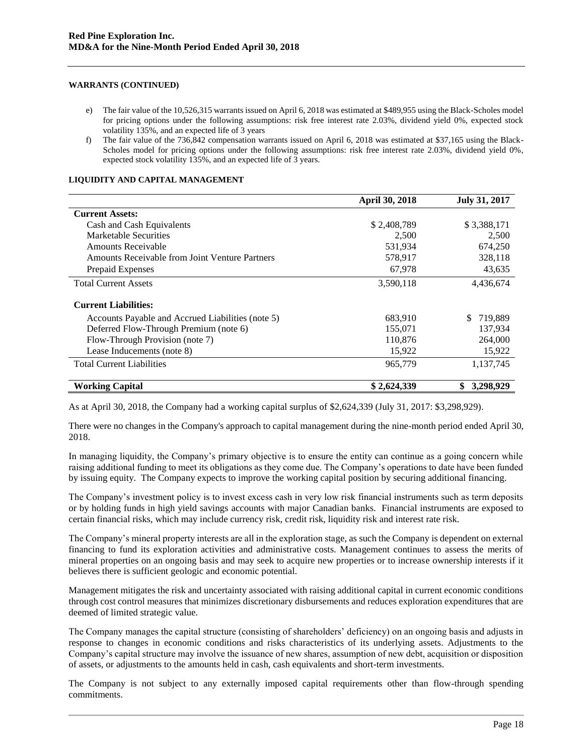# **WARRANTS (CONTINUED)**

- e) The fair value of the 10,526,315 warrants issued on April 6, 2018 was estimated at \$489,955 using the Black-Scholes model for pricing options under the following assumptions: risk free interest rate 2.03%, dividend yield 0%, expected stock volatility 135%, and an expected life of 3 years
- f) The fair value of the 736,842 compensation warrants issued on April 6, 2018 was estimated at \$37,165 using the Black-Scholes model for pricing options under the following assumptions: risk free interest rate 2.03%, dividend yield 0%, expected stock volatility 135%, and an expected life of 3 years.

# **LIQUIDITY AND CAPITAL MANAGEMENT**

|                                                   | April 30, 2018 | <b>July 31, 2017</b> |
|---------------------------------------------------|----------------|----------------------|
| <b>Current Assets:</b>                            |                |                      |
| Cash and Cash Equivalents                         | \$2,408,789    | \$3,388,171          |
| Marketable Securities                             | 2,500          | 2,500                |
| Amounts Receivable                                | 531,934        | 674.250              |
| Amounts Receivable from Joint Venture Partners    | 578,917        | 328,118              |
| Prepaid Expenses                                  | 67,978         | 43,635               |
| <b>Total Current Assets</b>                       | 3,590,118      | 4,436,674            |
| <b>Current Liabilities:</b>                       |                |                      |
| Accounts Payable and Accrued Liabilities (note 5) | 683,910        | 719,889<br>S.        |
| Deferred Flow-Through Premium (note 6)            | 155,071        | 137,934              |
| Flow-Through Provision (note 7)                   | 110,876        | 264,000              |
| Lease Inducements (note 8)                        | 15,922         | 15,922               |
| <b>Total Current Liabilities</b>                  | 965,779        | 1,137,745            |
| <b>Working Capital</b>                            | \$2,624,339    | 3,298,929<br>\$      |

As at April 30, 2018, the Company had a working capital surplus of \$2,624,339 (July 31, 2017: \$3,298,929).

There were no changes in the Company's approach to capital management during the nine-month period ended April 30, 2018.

In managing liquidity, the Company's primary objective is to ensure the entity can continue as a going concern while raising additional funding to meet its obligations as they come due. The Company's operations to date have been funded by issuing equity. The Company expects to improve the working capital position by securing additional financing.

The Company's investment policy is to invest excess cash in very low risk financial instruments such as term deposits or by holding funds in high yield savings accounts with major Canadian banks. Financial instruments are exposed to certain financial risks, which may include currency risk, credit risk, liquidity risk and interest rate risk.

The Company's mineral property interests are all in the exploration stage, as such the Company is dependent on external financing to fund its exploration activities and administrative costs. Management continues to assess the merits of mineral properties on an ongoing basis and may seek to acquire new properties or to increase ownership interests if it believes there is sufficient geologic and economic potential.

Management mitigates the risk and uncertainty associated with raising additional capital in current economic conditions through cost control measures that minimizes discretionary disbursements and reduces exploration expenditures that are deemed of limited strategic value.

The Company manages the capital structure (consisting of shareholders' deficiency) on an ongoing basis and adjusts in response to changes in economic conditions and risks characteristics of its underlying assets. Adjustments to the Company's capital structure may involve the issuance of new shares, assumption of new debt, acquisition or disposition of assets, or adjustments to the amounts held in cash, cash equivalents and short-term investments.

The Company is not subject to any externally imposed capital requirements other than flow-through spending commitments.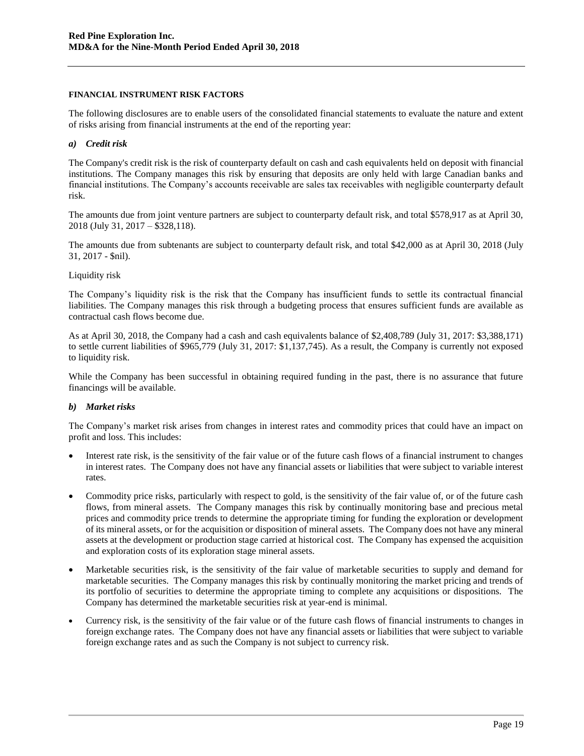# **FINANCIAL INSTRUMENT RISK FACTORS**

The following disclosures are to enable users of the consolidated financial statements to evaluate the nature and extent of risks arising from financial instruments at the end of the reporting year:

# *a) Credit risk*

The Company's credit risk is the risk of counterparty default on cash and cash equivalents held on deposit with financial institutions. The Company manages this risk by ensuring that deposits are only held with large Canadian banks and financial institutions. The Company's accounts receivable are sales tax receivables with negligible counterparty default risk.

The amounts due from joint venture partners are subject to counterparty default risk, and total \$578,917 as at April 30, 2018 (July 31, 2017 – \$328,118).

The amounts due from subtenants are subject to counterparty default risk, and total \$42,000 as at April 30, 2018 (July 31, 2017 - \$nil).

# Liquidity risk

The Company's liquidity risk is the risk that the Company has insufficient funds to settle its contractual financial liabilities. The Company manages this risk through a budgeting process that ensures sufficient funds are available as contractual cash flows become due.

As at April 30, 2018, the Company had a cash and cash equivalents balance of \$2,408,789 (July 31, 2017: \$3,388,171) to settle current liabilities of \$965,779 (July 31, 2017: \$1,137,745). As a result, the Company is currently not exposed to liquidity risk.

While the Company has been successful in obtaining required funding in the past, there is no assurance that future financings will be available.

# *b) Market risks*

The Company's market risk arises from changes in interest rates and commodity prices that could have an impact on profit and loss. This includes:

- Interest rate risk, is the sensitivity of the fair value or of the future cash flows of a financial instrument to changes in interest rates. The Company does not have any financial assets or liabilities that were subject to variable interest rates.
- Commodity price risks, particularly with respect to gold, is the sensitivity of the fair value of, or of the future cash flows, from mineral assets. The Company manages this risk by continually monitoring base and precious metal prices and commodity price trends to determine the appropriate timing for funding the exploration or development of its mineral assets, or for the acquisition or disposition of mineral assets. The Company does not have any mineral assets at the development or production stage carried at historical cost. The Company has expensed the acquisition and exploration costs of its exploration stage mineral assets.
- Marketable securities risk, is the sensitivity of the fair value of marketable securities to supply and demand for marketable securities. The Company manages this risk by continually monitoring the market pricing and trends of its portfolio of securities to determine the appropriate timing to complete any acquisitions or dispositions. The Company has determined the marketable securities risk at year-end is minimal.
- Currency risk, is the sensitivity of the fair value or of the future cash flows of financial instruments to changes in foreign exchange rates. The Company does not have any financial assets or liabilities that were subject to variable foreign exchange rates and as such the Company is not subject to currency risk.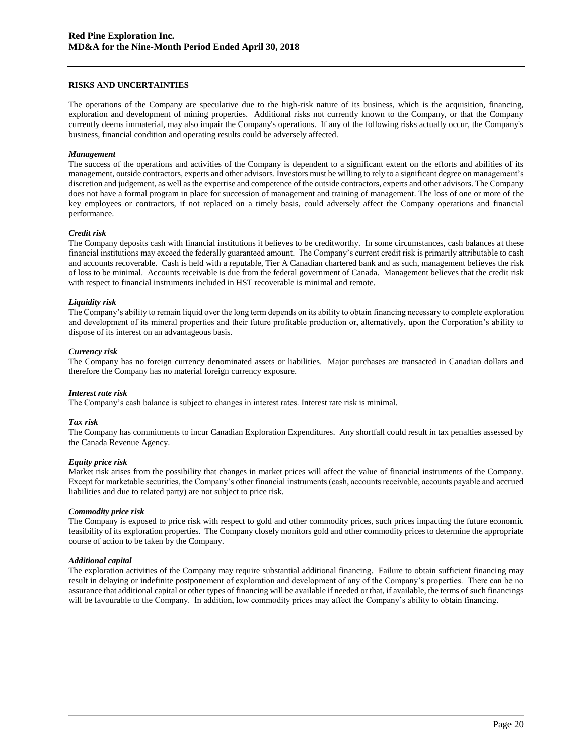### **RISKS AND UNCERTAINTIES**

The operations of the Company are speculative due to the high-risk nature of its business, which is the acquisition, financing, exploration and development of mining properties. Additional risks not currently known to the Company, or that the Company currently deems immaterial, may also impair the Company's operations. If any of the following risks actually occur, the Company's business, financial condition and operating results could be adversely affected.

### *Management*

The success of the operations and activities of the Company is dependent to a significant extent on the efforts and abilities of its management, outside contractors, experts and other advisors. Investors must be willing to rely to a significant degree on management's discretion and judgement, as well as the expertise and competence of the outside contractors, experts and other advisors. The Company does not have a formal program in place for succession of management and training of management. The loss of one or more of the key employees or contractors, if not replaced on a timely basis, could adversely affect the Company operations and financial performance.

### *Credit risk*

The Company deposits cash with financial institutions it believes to be creditworthy. In some circumstances, cash balances at these financial institutions may exceed the federally guaranteed amount. The Company's current credit risk is primarily attributable to cash and accounts recoverable. Cash is held with a reputable, Tier A Canadian chartered bank and as such, management believes the risk of loss to be minimal. Accounts receivable is due from the federal government of Canada. Management believes that the credit risk with respect to financial instruments included in HST recoverable is minimal and remote.

### *Liquidity risk*

The Company's ability to remain liquid over the long term depends on its ability to obtain financing necessary to complete exploration and development of its mineral properties and their future profitable production or, alternatively, upon the Corporation's ability to dispose of its interest on an advantageous basis.

### *Currency risk*

The Company has no foreign currency denominated assets or liabilities. Major purchases are transacted in Canadian dollars and therefore the Company has no material foreign currency exposure.

#### *Interest rate risk*

The Company's cash balance is subject to changes in interest rates. Interest rate risk is minimal.

# *Tax risk*

The Company has commitments to incur Canadian Exploration Expenditures. Any shortfall could result in tax penalties assessed by the Canada Revenue Agency.

#### *Equity price risk*

Market risk arises from the possibility that changes in market prices will affect the value of financial instruments of the Company. Except for marketable securities, the Company's other financial instruments (cash, accounts receivable, accounts payable and accrued liabilities and due to related party) are not subject to price risk.

#### *Commodity price risk*

The Company is exposed to price risk with respect to gold and other commodity prices, such prices impacting the future economic feasibility of its exploration properties. The Company closely monitors gold and other commodity prices to determine the appropriate course of action to be taken by the Company.

#### *Additional capital*

The exploration activities of the Company may require substantial additional financing. Failure to obtain sufficient financing may result in delaying or indefinite postponement of exploration and development of any of the Company's properties. There can be no assurance that additional capital or other types of financing will be available if needed or that, if available, the terms of such financings will be favourable to the Company. In addition, low commodity prices may affect the Company's ability to obtain financing.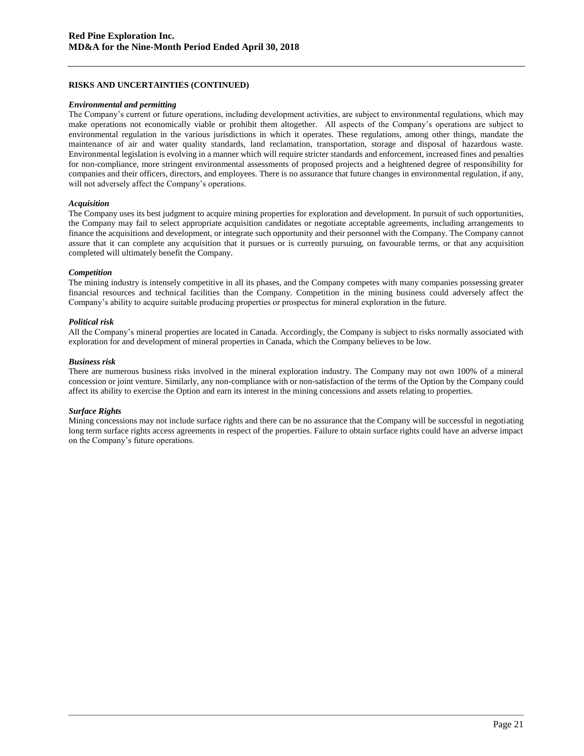# **RISKS AND UNCERTAINTIES (CONTINUED)**

### *Environmental and permitting*

The Company's current or future operations, including development activities, are subject to environmental regulations, which may make operations not economically viable or prohibit them altogether. All aspects of the Company's operations are subject to environmental regulation in the various jurisdictions in which it operates. These regulations, among other things, mandate the maintenance of air and water quality standards, land reclamation, transportation, storage and disposal of hazardous waste. Environmental legislation is evolving in a manner which will require stricter standards and enforcement, increased fines and penalties for non-compliance, more stringent environmental assessments of proposed projects and a heightened degree of responsibility for companies and their officers, directors, and employees. There is no assurance that future changes in environmental regulation, if any, will not adversely affect the Company's operations.

# *Acquisition*

The Company uses its best judgment to acquire mining properties for exploration and development. In pursuit of such opportunities, the Company may fail to select appropriate acquisition candidates or negotiate acceptable agreements, including arrangements to finance the acquisitions and development, or integrate such opportunity and their personnel with the Company. The Company cannot assure that it can complete any acquisition that it pursues or is currently pursuing, on favourable terms, or that any acquisition completed will ultimately benefit the Company.

# *Competition*

The mining industry is intensely competitive in all its phases, and the Company competes with many companies possessing greater financial resources and technical facilities than the Company. Competition in the mining business could adversely affect the Company's ability to acquire suitable producing properties or prospectus for mineral exploration in the future.

# *Political risk*

All the Company's mineral properties are located in Canada. Accordingly, the Company is subject to risks normally associated with exploration for and development of mineral properties in Canada, which the Company believes to be low.

# *Business risk*

There are numerous business risks involved in the mineral exploration industry. The Company may not own 100% of a mineral concession or joint venture. Similarly, any non-compliance with or non-satisfaction of the terms of the Option by the Company could affect its ability to exercise the Option and earn its interest in the mining concessions and assets relating to properties.

# *Surface Rights*

Mining concessions may not include surface rights and there can be no assurance that the Company will be successful in negotiating long term surface rights access agreements in respect of the properties. Failure to obtain surface rights could have an adverse impact on the Company's future operations.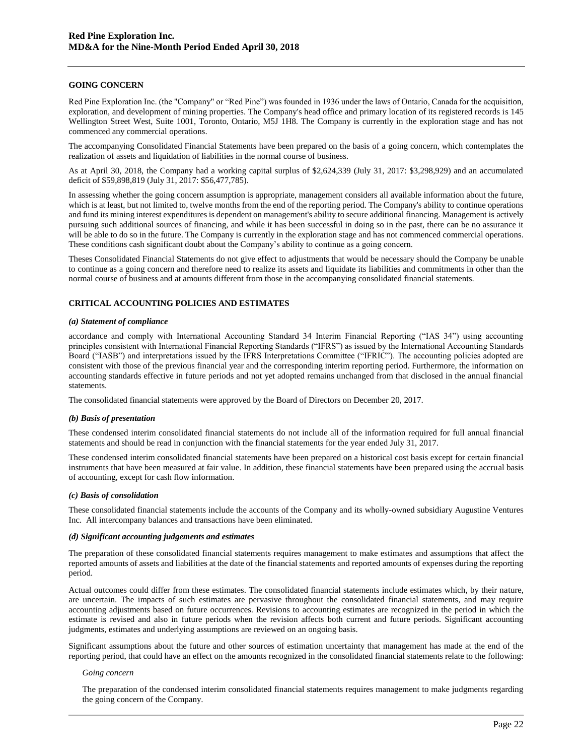### **GOING CONCERN**

Red Pine Exploration Inc. (the "Company" or "Red Pine") was founded in 1936 under the laws of Ontario, Canada for the acquisition, exploration, and development of mining properties. The Company's head office and primary location of its registered records is 145 Wellington Street West, Suite 1001, Toronto, Ontario, M5J 1H8. The Company is currently in the exploration stage and has not commenced any commercial operations.

The accompanying Consolidated Financial Statements have been prepared on the basis of a going concern, which contemplates the realization of assets and liquidation of liabilities in the normal course of business.

As at April 30, 2018, the Company had a working capital surplus of \$2,624,339 (July 31, 2017: \$3,298,929) and an accumulated deficit of \$59,898,819 (July 31, 2017: \$56,477,785).

In assessing whether the going concern assumption is appropriate, management considers all available information about the future, which is at least, but not limited to, twelve months from the end of the reporting period. The Company's ability to continue operations and fund its mining interest expenditures is dependent on management's ability to secure additional financing. Management is actively pursuing such additional sources of financing, and while it has been successful in doing so in the past, there can be no assurance it will be able to do so in the future. The Company is currently in the exploration stage and has not commenced commercial operations. These conditions cash significant doubt about the Company's ability to continue as a going concern.

Theses Consolidated Financial Statements do not give effect to adjustments that would be necessary should the Company be unable to continue as a going concern and therefore need to realize its assets and liquidate its liabilities and commitments in other than the normal course of business and at amounts different from those in the accompanying consolidated financial statements.

# **CRITICAL ACCOUNTING POLICIES AND ESTIMATES**

#### *(a) Statement of compliance*

accordance and comply with International Accounting Standard 34 Interim Financial Reporting ("IAS 34") using accounting principles consistent with International Financial Reporting Standards ("IFRS") as issued by the International Accounting Standards Board ("IASB") and interpretations issued by the IFRS Interpretations Committee ("IFRIC"). The accounting policies adopted are consistent with those of the previous financial year and the corresponding interim reporting period. Furthermore, the information on accounting standards effective in future periods and not yet adopted remains unchanged from that disclosed in the annual financial statements.

The consolidated financial statements were approved by the Board of Directors on December 20, 2017.

#### *(b) Basis of presentation*

These condensed interim consolidated financial statements do not include all of the information required for full annual financial statements and should be read in conjunction with the financial statements for the year ended July 31, 2017.

These condensed interim consolidated financial statements have been prepared on a historical cost basis except for certain financial instruments that have been measured at fair value. In addition, these financial statements have been prepared using the accrual basis of accounting, except for cash flow information.

#### *(c) Basis of consolidation*

These consolidated financial statements include the accounts of the Company and its wholly-owned subsidiary Augustine Ventures Inc. All intercompany balances and transactions have been eliminated.

#### *(d) Significant accounting judgements and estimates*

The preparation of these consolidated financial statements requires management to make estimates and assumptions that affect the reported amounts of assets and liabilities at the date of the financial statements and reported amounts of expenses during the reporting period.

Actual outcomes could differ from these estimates. The consolidated financial statements include estimates which, by their nature, are uncertain. The impacts of such estimates are pervasive throughout the consolidated financial statements, and may require accounting adjustments based on future occurrences. Revisions to accounting estimates are recognized in the period in which the estimate is revised and also in future periods when the revision affects both current and future periods. Significant accounting judgments, estimates and underlying assumptions are reviewed on an ongoing basis.

Significant assumptions about the future and other sources of estimation uncertainty that management has made at the end of the reporting period, that could have an effect on the amounts recognized in the consolidated financial statements relate to the following:

#### *Going concern*

The preparation of the condensed interim consolidated financial statements requires management to make judgments regarding the going concern of the Company.